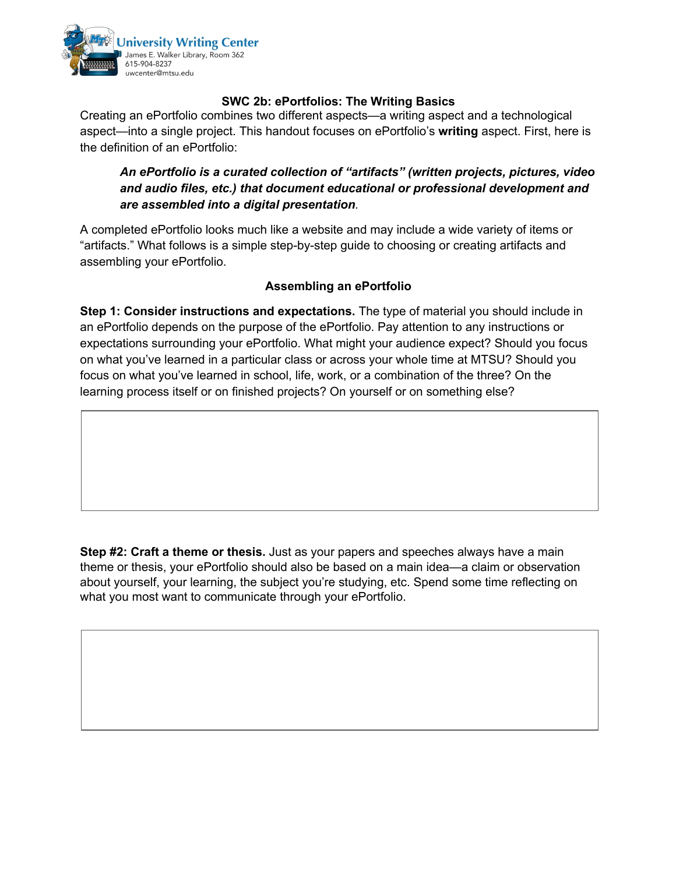

## **SWC 2b: ePortfolios: The Writing Basics**

Creating an ePortfolio combines two different aspects—a writing aspect and a technological aspect—into a single project. This handout focuses on ePortfolio's **writing** aspect. First, here is the definition of an ePortfolio:

## *An ePortfolio is a curated collection of "artifacts" (written projects, pictures, video and audio files, etc.) that document educational or professional development and are assembled into a digital presentation.*

A completed ePortfolio looks much like a website and may include a wide variety of items or "artifacts." What follows is a simple step-by-step guide to choosing or creating artifacts and assembling your ePortfolio.

## **Assembling an ePortfolio**

**Step 1: Consider instructions and expectations.** The type of material you should include in an ePortfolio depends on the purpose of the ePortfolio. Pay attention to any instructions or expectations surrounding your ePortfolio. What might your audience expect? Should you focus on what you've learned in a particular class or across your whole time at MTSU? Should you focus on what you've learned in school, life, work, or a combination of the three? On the learning process itself or on finished projects? On yourself or on something else?

**Step #2: Craft a theme or thesis.** Just as your papers and speeches always have a main theme or thesis, your ePortfolio should also be based on a main idea—a claim or observation about yourself, your learning, the subject you're studying, etc. Spend some time reflecting on what you most want to communicate through your ePortfolio.